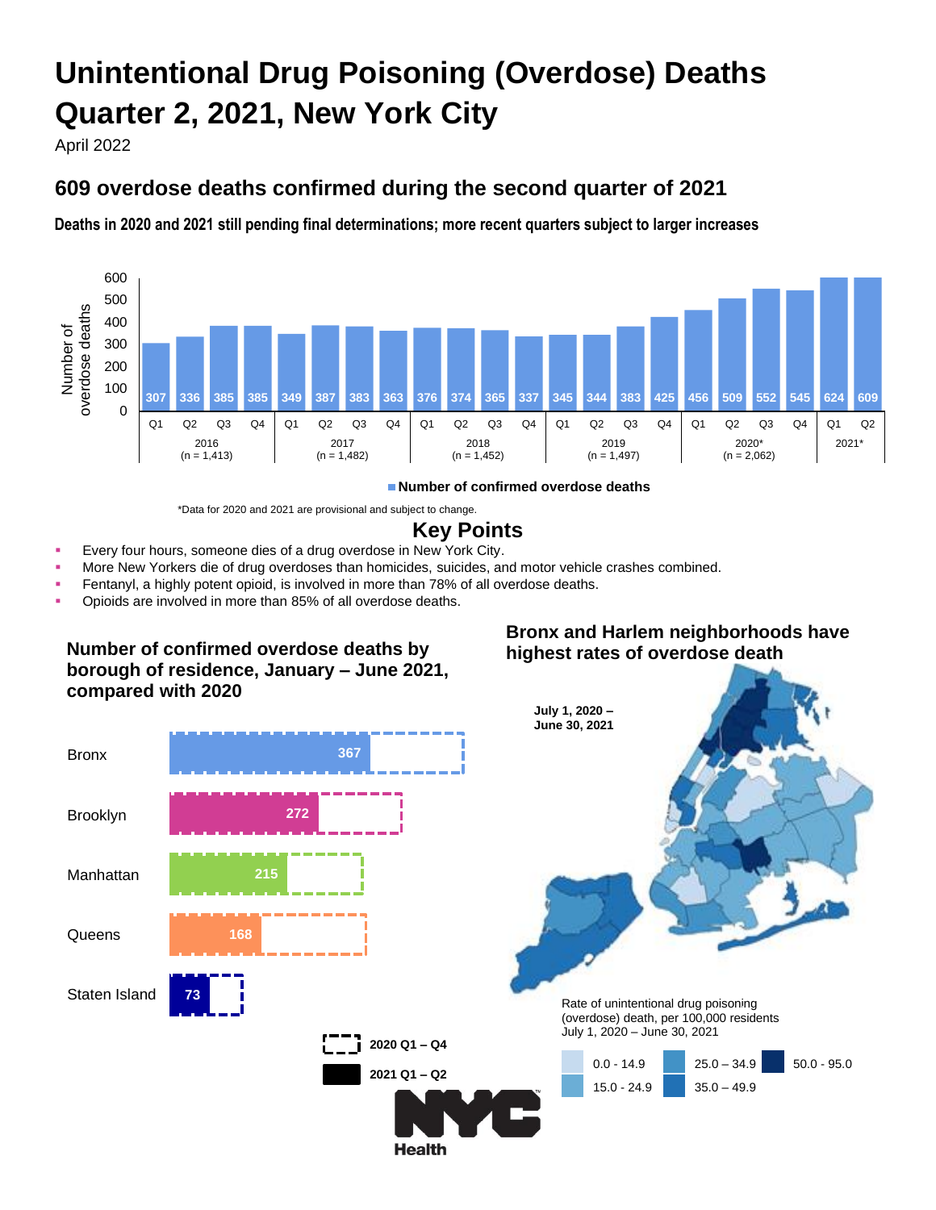# **Unintentional Drug Poisoning (Overdose) Deaths Quarter 2, 2021, New York City**

April 2022

# **609 overdose deaths confirmed during the second quarter of 2021**

**Deaths in 2020 and 2021 still pending final determinations; more recent quarters subject to larger increases**



**Number of confirmed overdose deaths**

\*Data for 2020 and 2021 are provisional and subject to change.

# **Key Points**

- Every four hours, someone dies of a drug overdose in New York City.
- More New Yorkers die of drug overdoses than homicides, suicides, and motor vehicle crashes combined.
- Fentanyl, a highly potent opioid, is involved in more than 78% of all overdose deaths.
- Opioids are involved in more than 85% of all overdose deaths.

#### **Number of confirmed overdose deaths by borough of residence, January – June 2021, compared with 2020**

#### **Bronx and Harlem neighborhoods have highest rates of overdose death**